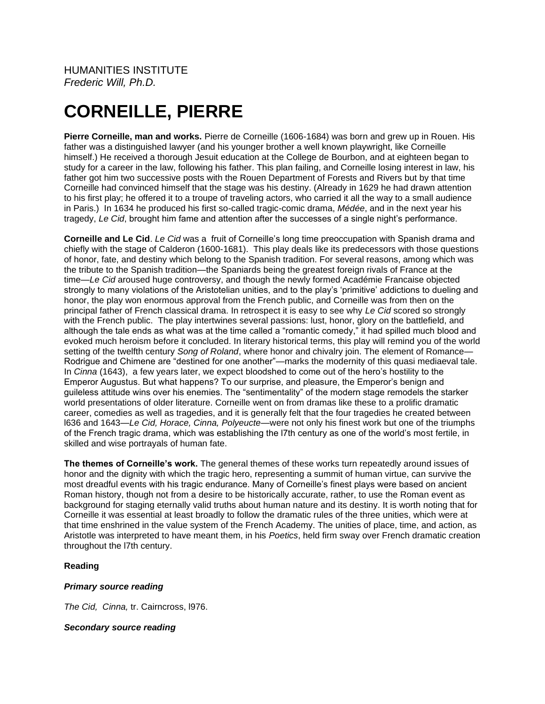# **CORNEILLE, PIERRE**

**Pierre Corneille, man and works.** Pierre de Corneille (1606-1684) was born and grew up in Rouen. His father was a distinguished lawyer (and his younger brother a well known playwright, like Corneille himself.) He received a thorough Jesuit education at the College de Bourbon, and at eighteen began to study for a career in the law, following his father. This plan failing, and Corneille losing interest in law, his father got him two successive posts with the Rouen Department of Forests and Rivers but by that time Corneille had convinced himself that the stage was his destiny. (Already in 1629 he had drawn attention to his first play; he offered it to a troupe of traveling actors, who carried it all the way to a small audience in Paris.) In 1634 he produced his first so-called tragic-comic drama, *Médée*, and in the next year his tragedy, *Le Cid*, brought him fame and attention after the successes of a single night's performance.

**Corneille and Le Cid**. *Le Cid* was a fruit of Corneille's long time preoccupation with Spanish drama and chiefly with the stage of Calderon (1600-1681). This play deals like its predecessors with those questions of honor, fate, and destiny which belong to the Spanish tradition. For several reasons, among which was the tribute to the Spanish tradition—the Spaniards being the greatest foreign rivals of France at the time—*Le Cid* aroused huge controversy, and though the newly formed Académie Francaise objected strongly to many violations of the Aristotelian unities, and to the play's 'primitive' addictions to dueling and honor, the play won enormous approval from the French public, and Corneille was from then on the principal father of French classical drama. In retrospect it is easy to see why *Le Cid* scored so strongly with the French public. The play intertwines several passions: lust, honor, glory on the battlefield, and although the tale ends as what was at the time called a "romantic comedy," it had spilled much blood and evoked much heroism before it concluded. In literary historical terms, this play will remind you of the world setting of the twelfth century *Song of Roland*, where honor and chivalry join. The element of Romance— Rodrigue and Chimene are "destined for one another"—marks the modernity of this quasi mediaeval tale. In *Cinna* (1643), a few years later, we expect bloodshed to come out of the hero's hostility to the Emperor Augustus. But what happens? To our surprise, and pleasure, the Emperor's benign and guileless attitude wins over his enemies. The "sentimentality" of the modern stage remodels the starker world presentations of older literature. Corneille went on from dramas like these to a prolific dramatic career, comedies as well as tragedies, and it is generally felt that the four tragedies he created between l636 and 1643—*Le Cid, Horace, Cinna, Polyeucte*—were not only his finest work but one of the triumphs of the French tragic drama, which was establishing the l7th century as one of the world's most fertile, in skilled and wise portrayals of human fate.

**The themes of Corneille's work.** The general themes of these works turn repeatedly around issues of honor and the dignity with which the tragic hero, representing a summit of human virtue, can survive the most dreadful events with his tragic endurance. Many of Corneille's finest plays were based on ancient Roman history, though not from a desire to be historically accurate, rather, to use the Roman event as background for staging eternally valid truths about human nature and its destiny. It is worth noting that for Corneille it was essential at least broadly to follow the dramatic rules of the three unities, which were at that time enshrined in the value system of the French Academy. The unities of place, time, and action, as Aristotle was interpreted to have meant them, in his *Poetics*, held firm sway over French dramatic creation throughout the l7th century.

## **Reading**

## *Primary source reading*

*The Cid, Cinna,* tr. Cairncross, l976.

## *Secondary source reading*